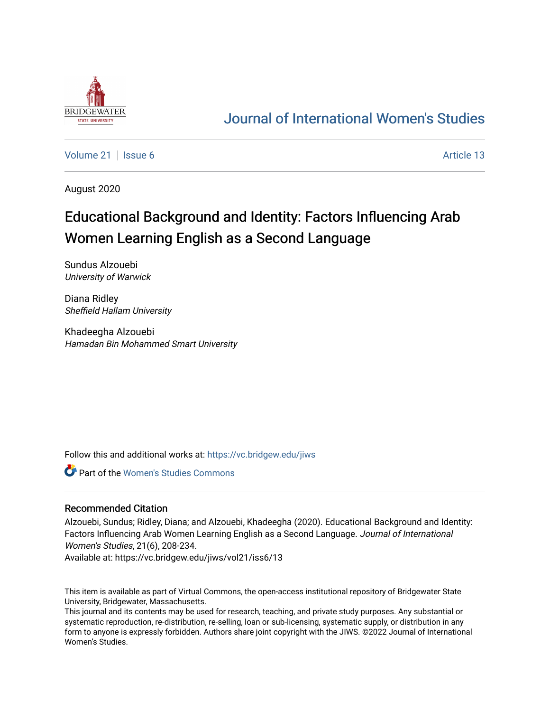

# [Journal of International Women's Studies](https://vc.bridgew.edu/jiws)

[Volume 21](https://vc.bridgew.edu/jiws/vol21) | [Issue 6](https://vc.bridgew.edu/jiws/vol21/iss6) Article 13

August 2020

# Educational Background and Identity: Factors Influencing Arab Women Learning English as a Second Language

Sundus Alzouebi University of Warwick

Diana Ridley Sheffield Hallam University

Khadeegha Alzouebi Hamadan Bin Mohammed Smart University

Follow this and additional works at: [https://vc.bridgew.edu/jiws](https://vc.bridgew.edu/jiws?utm_source=vc.bridgew.edu%2Fjiws%2Fvol21%2Fiss6%2F13&utm_medium=PDF&utm_campaign=PDFCoverPages)

Part of the [Women's Studies Commons](http://network.bepress.com/hgg/discipline/561?utm_source=vc.bridgew.edu%2Fjiws%2Fvol21%2Fiss6%2F13&utm_medium=PDF&utm_campaign=PDFCoverPages) 

#### Recommended Citation

Alzouebi, Sundus; Ridley, Diana; and Alzouebi, Khadeegha (2020). Educational Background and Identity: Factors Influencing Arab Women Learning English as a Second Language. Journal of International Women's Studies, 21(6), 208-234.

Available at: https://vc.bridgew.edu/jiws/vol21/iss6/13

This item is available as part of Virtual Commons, the open-access institutional repository of Bridgewater State University, Bridgewater, Massachusetts.

This journal and its contents may be used for research, teaching, and private study purposes. Any substantial or systematic reproduction, re-distribution, re-selling, loan or sub-licensing, systematic supply, or distribution in any form to anyone is expressly forbidden. Authors share joint copyright with the JIWS. ©2022 Journal of International Women's Studies.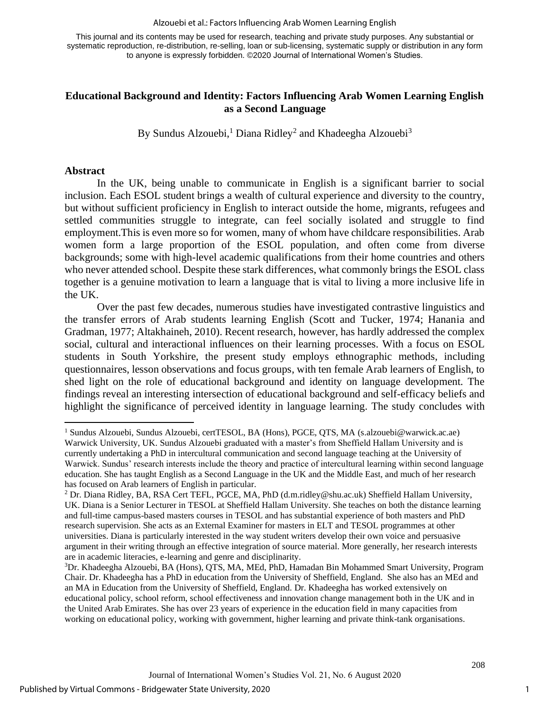#### Alzouebi et al.: Factors Influencing Arab Women Learning English

This journal and its contents may be used for research, teaching and private study purposes. Any substantial or systematic reproduction, re-distribution, re-selling, loan or sub-licensing, systematic supply or distribution in any form to anyone is expressly forbidden. ©2020 Journal of International Women's Studies.

#### **Educational Background and Identity: Factors Influencing Arab Women Learning English as a Second Language**

By Sundus Alzouebi,<sup>1</sup> Diana Ridley<sup>2</sup> and Khadeegha Alzouebi<sup>3</sup>

#### **Abstract**

In the UK, being unable to communicate in English is a significant barrier to social inclusion. Each ESOL student brings a wealth of cultural experience and diversity to the country, but without sufficient proficiency in English to interact outside the home, migrants, refugees and settled communities struggle to integrate, can feel socially isolated and struggle to find employment.This is even more so for women, many of whom have childcare responsibilities. Arab women form a large proportion of the ESOL population, and often come from diverse backgrounds; some with high-level academic qualifications from their home countries and others who never attended school. Despite these stark differences, what commonly brings the ESOL class together is a genuine motivation to learn a language that is vital to living a more inclusive life in the UK.

Over the past few decades, numerous studies have investigated contrastive linguistics and the transfer errors of Arab students learning English (Scott and Tucker, 1974; Hanania and Gradman, 1977; Altakhaineh, 2010). Recent research, however, has hardly addressed the complex social, cultural and interactional influences on their learning processes. With a focus on ESOL students in South Yorkshire, the present study employs ethnographic methods, including questionnaires, lesson observations and focus groups, with ten female Arab learners of English, to shed light on the role of educational background and identity on language development. The findings reveal an interesting intersection of educational background and self-efficacy beliefs and highlight the significance of perceived identity in language learning. The study concludes with

<sup>1</sup> Sundus Alzouebi, Sundus Alzouebi, certTESOL, BA (Hons), PGCE, QTS, MA [\(s.alzouebi@warwick.ac.ae\)](mailto:s.alzouebi@warwick.ac.ae) Warwick University, UK. Sundus Alzouebi graduated with a master's from Sheffield Hallam University and is currently undertaking a PhD in intercultural communication and second language teaching at the University of Warwick. Sundus' research interests include the theory and practice of intercultural learning within second language education. She has taught English as a Second Language in the UK and the Middle East, and much of her research has focused on Arab learners of English in particular.

<sup>2</sup> Dr. Diana Ridley, BA, RSA Cert TEFL, PGCE, MA, PhD [\(d.m.ridley@shu.ac.uk\)](mailto:d.m.ridley@shu.ac.uk) Sheffield Hallam University, UK. Diana is a Senior Lecturer in TESOL at Sheffield Hallam University. She teaches on both the distance learning and full-time campus-based masters courses in TESOL and has substantial experience of both masters and PhD research supervision. She acts as an External Examiner for masters in ELT and TESOL programmes at other universities. Diana is particularly interested in the way student writers develop their own voice and persuasive argument in their writing through an effective integration of source material. More generally, her research interests are in academic literacies, e-learning and genre and disciplinarity.

<sup>3</sup>Dr. Khadeegha Alzouebi, BA (Hons), QTS, MA, MEd, PhD, Hamadan Bin Mohammed Smart University, Program Chair. Dr. Khadeegha has a PhD in education from the University of Sheffield, England. She also has an MEd and an MA in Education from the University of Sheffield, England. Dr. Khadeegha has worked extensively on educational policy, school reform, school effectiveness and innovation change management both in the UK and in the United Arab Emirates. She has over 23 years of experience in the education field in many capacities from working on educational policy, working with government, higher learning and private think-tank organisations.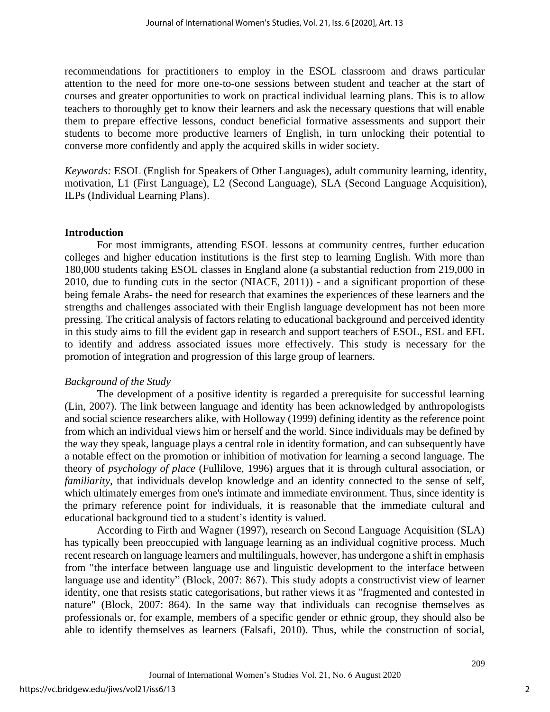recommendations for practitioners to employ in the ESOL classroom and draws particular attention to the need for more one-to-one sessions between student and teacher at the start of courses and greater opportunities to work on practical individual learning plans. This is to allow teachers to thoroughly get to know their learners and ask the necessary questions that will enable them to prepare effective lessons, conduct beneficial formative assessments and support their students to become more productive learners of English, in turn unlocking their potential to converse more confidently and apply the acquired skills in wider society.

*Keywords:* ESOL (English for Speakers of Other Languages), adult community learning, identity, motivation, L1 (First Language), L2 (Second Language), SLA (Second Language Acquisition), ILPs (Individual Learning Plans).

#### **Introduction**

For most immigrants, attending ESOL lessons at community centres, further education colleges and higher education institutions is the first step to learning English. With more than 180,000 students taking ESOL classes in England alone (a substantial reduction from 219,000 in 2010, due to funding cuts in the sector (NIACE, 2011)) - and a significant proportion of these being female Arabs- the need for research that examines the experiences of these learners and the strengths and challenges associated with their English language development has not been more pressing. The critical analysis of factors relating to educational background and perceived identity in this study aims to fill the evident gap in research and support teachers of ESOL, ESL and EFL to identify and address associated issues more effectively. This study is necessary for the promotion of integration and progression of this large group of learners.

#### *Background of the Study*

The development of a positive identity is regarded a prerequisite for successful learning (Lin, 2007). The link between language and identity has been acknowledged by anthropologists and social science researchers alike, with Holloway (1999) defining identity as the reference point from which an individual views him or herself and the world. Since individuals may be defined by the way they speak, language plays a central role in identity formation, and can subsequently have a notable effect on the promotion or inhibition of motivation for learning a second language. The theory of *psychology of place* (Fullilove, 1996) argues that it is through cultural association, or *familiarity*, that individuals develop knowledge and an identity connected to the sense of self, which ultimately emerges from one's intimate and immediate environment. Thus, since identity is the primary reference point for individuals, it is reasonable that the immediate cultural and educational background tied to a student's identity is valued.

According to Firth and Wagner (1997), research on Second Language Acquisition (SLA) has typically been preoccupied with language learning as an individual cognitive process. Much recent research on language learners and multilinguals, however, has undergone a shift in emphasis from "the interface between language use and linguistic development to the interface between language use and identity" (Block, 2007: 867). This study adopts a constructivist view of learner identity, one that resists static categorisations, but rather views it as "fragmented and contested in nature" (Block, 2007: 864). In the same way that individuals can recognise themselves as professionals or, for example, members of a specific gender or ethnic group, they should also be able to identify themselves as learners (Falsafi, 2010). Thus, while the construction of social,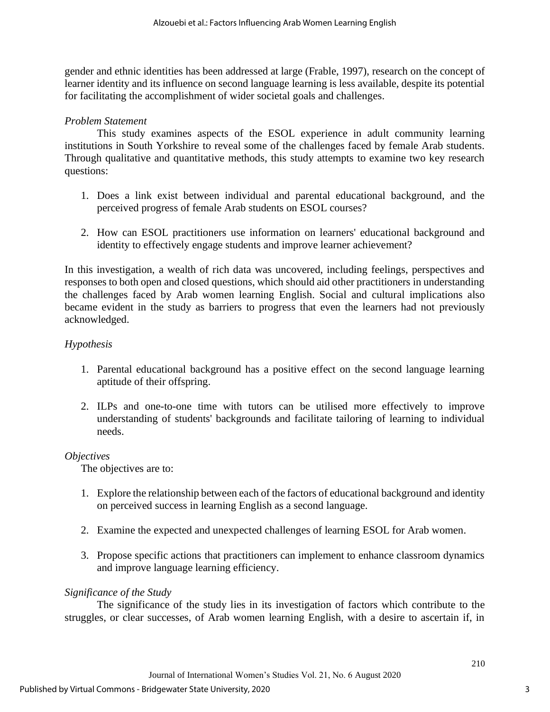gender and ethnic identities has been addressed at large (Frable, 1997), research on the concept of learner identity and its influence on second language learning is less available, despite its potential for facilitating the accomplishment of wider societal goals and challenges.

## *Problem Statement*

This study examines aspects of the ESOL experience in adult community learning institutions in South Yorkshire to reveal some of the challenges faced by female Arab students. Through qualitative and quantitative methods, this study attempts to examine two key research questions:

- 1. Does a link exist between individual and parental educational background, and the perceived progress of female Arab students on ESOL courses?
- 2. How can ESOL practitioners use information on learners' educational background and identity to effectively engage students and improve learner achievement?

In this investigation, a wealth of rich data was uncovered, including feelings, perspectives and responses to both open and closed questions, which should aid other practitioners in understanding the challenges faced by Arab women learning English. Social and cultural implications also became evident in the study as barriers to progress that even the learners had not previously acknowledged.

## *Hypothesis*

- 1. Parental educational background has a positive effect on the second language learning aptitude of their offspring.
- 2. ILPs and one-to-one time with tutors can be utilised more effectively to improve understanding of students' backgrounds and facilitate tailoring of learning to individual needs.

#### *Objectives*

The objectives are to:

- 1. Explore the relationship between each of the factors of educational background and identity on perceived success in learning English as a second language.
- 2. Examine the expected and unexpected challenges of learning ESOL for Arab women.
- 3. Propose specific actions that practitioners can implement to enhance classroom dynamics and improve language learning efficiency.

#### *Significance of the Study*

The significance of the study lies in its investigation of factors which contribute to the struggles, or clear successes, of Arab women learning English, with a desire to ascertain if, in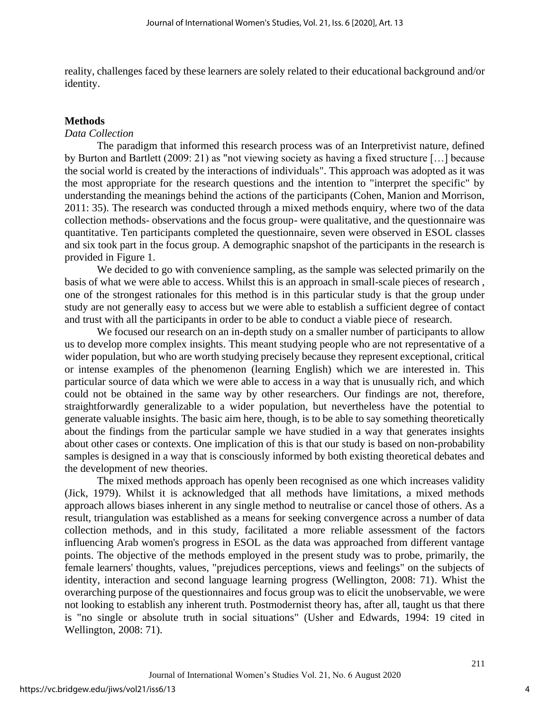reality, challenges faced by these learners are solely related to their educational background and/or identity.

#### **Methods**

#### *Data Collection*

The paradigm that informed this research process was of an Interpretivist nature, defined by Burton and Bartlett (2009: 21) as "not viewing society as having a fixed structure […] because the social world is created by the interactions of individuals". This approach was adopted as it was the most appropriate for the research questions and the intention to "interpret the specific" by understanding the meanings behind the actions of the participants (Cohen, Manion and Morrison, 2011: 35). The research was conducted through a mixed methods enquiry, where two of the data collection methods- observations and the focus group- were qualitative, and the questionnaire was quantitative. Ten participants completed the questionnaire, seven were observed in ESOL classes and six took part in the focus group. A demographic snapshot of the participants in the research is provided in Figure 1.

We decided to go with convenience sampling, as the sample was selected primarily on the basis of what we were able to access. Whilst this is an approach in small-scale pieces of research , one of the strongest rationales for this method is in this particular study is that the group under study are not generally easy to access but we were able to establish a sufficient degree of contact and trust with all the participants in order to be able to conduct a viable piece of research.

We focused our research on an in-depth study on a smaller number of participants to allow us to develop more complex insights. This meant studying people who are not representative of a wider population, but who are worth studying precisely because they represent exceptional, critical or intense examples of the phenomenon (learning English) which we are interested in. This particular source of data which we were able to access in a way that is unusually rich, and which could not be obtained in the same way by other researchers. Our findings are not, therefore, straightforwardly generalizable to a wider population, but nevertheless have the potential to generate valuable insights. The basic aim here, though, is to be able to say something theoretically about the findings from the particular sample we have studied in a way that generates insights about other cases or contexts. One implication of this is that our study is based on non-probability samples is designed in a way that is consciously informed by both existing theoretical debates and the development of new theories.

The mixed methods approach has openly been recognised as one which increases validity (Jick, 1979). Whilst it is acknowledged that all methods have limitations, a mixed methods approach allows biases inherent in any single method to neutralise or cancel those of others. As a result, triangulation was established as a means for seeking convergence across a number of data collection methods, and in this study, facilitated a more reliable assessment of the factors influencing Arab women's progress in ESOL as the data was approached from different vantage points. The objective of the methods employed in the present study was to probe, primarily, the female learners' thoughts, values, "prejudices perceptions, views and feelings" on the subjects of identity, interaction and second language learning progress (Wellington, 2008: 71). Whist the overarching purpose of the questionnaires and focus group was to elicit the unobservable, we were not looking to establish any inherent truth. Postmodernist theory has, after all, taught us that there is "no single or absolute truth in social situations" (Usher and Edwards, 1994: 19 cited in Wellington, 2008: 71).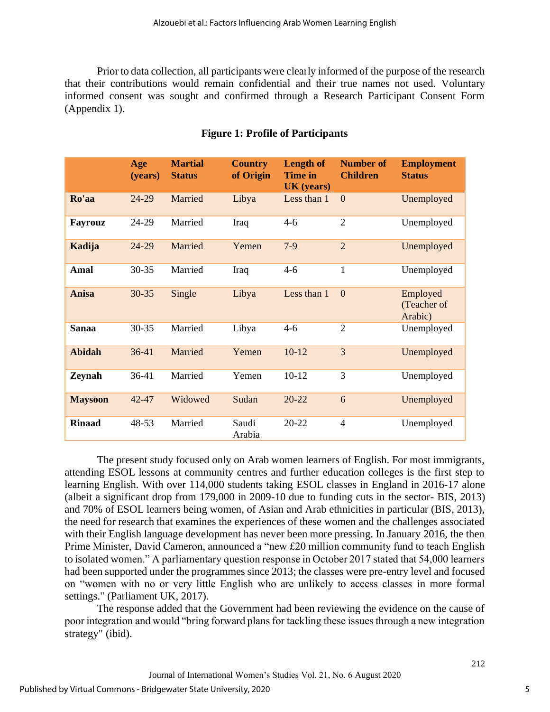Prior to data collection, all participants were clearly informed of the purpose of the research that their contributions would remain confidential and their true names not used. Voluntary informed consent was sought and confirmed through a Research Participant Consent Form (Appendix 1).

|                | Age<br>(years) | <b>Martial</b><br><b>Status</b> | <b>Country</b><br>of Origin | <b>Length of</b><br><b>Time in</b><br>UK (years) | <b>Number of</b><br><b>Children</b> | <b>Employment</b><br><b>Status</b> |
|----------------|----------------|---------------------------------|-----------------------------|--------------------------------------------------|-------------------------------------|------------------------------------|
| Ro'aa          | 24-29          | Married                         | Libya                       | Less than 1                                      | $\theta$                            | Unemployed                         |
| Fayrouz        | 24-29          | Married                         | Iraq                        | $4 - 6$                                          | $\overline{2}$                      | Unemployed                         |
| Kadija         | 24-29          | Married                         | Yemen                       | $7-9$                                            | $\overline{2}$                      | Unemployed                         |
| Amal           | $30 - 35$      | Married                         | Iraq                        | $4 - 6$                                          | $\mathbf{1}$                        | Unemployed                         |
| Anisa          | $30 - 35$      | Single                          | Libya                       | Less than 1                                      | $\mathbf{0}$                        | Employed<br>(Teacher of<br>Arabic) |
| <b>Sanaa</b>   | $30 - 35$      | Married                         | Libya                       | $4 - 6$                                          | $\overline{2}$                      | Unemployed                         |
| <b>Abidah</b>  | $36 - 41$      | Married                         | Yemen                       | $10-12$                                          | 3                                   | Unemployed                         |
| Zeynah         | 36-41          | Married                         | Yemen                       | $10-12$                                          | 3                                   | Unemployed                         |
| <b>Maysoon</b> | $42 - 47$      | Widowed                         | Sudan                       | $20 - 22$                                        | 6                                   | Unemployed                         |
| <b>Rinaad</b>  | $48 - 53$      | Married                         | Saudi<br>Arabia             | $20 - 22$                                        | $\overline{4}$                      | Unemployed                         |

## **Figure 1: Profile of Participants**

The present study focused only on Arab women learners of English. For most immigrants, attending ESOL lessons at community centres and further education colleges is the first step to learning English. With over 114,000 students taking ESOL classes in England in 2016-17 alone (albeit a significant drop from 179,000 in 2009-10 due to funding cuts in the sector- BIS, 2013) and 70% of ESOL learners being women, of Asian and Arab ethnicities in particular (BIS, 2013), the need for research that examines the experiences of these women and the challenges associated with their English language development has never been more pressing. In January 2016, the then Prime Minister, David Cameron, announced a "new £20 million community fund to teach English to isolated women." A parliamentary question response in October 2017 stated that 54,000 learners had been supported under the programmes since 2013; the classes were pre-entry level and focused on "women with no or very little English who are unlikely to access classes in more formal settings." (Parliament UK, 2017).

The response added that the Government had been reviewing the evidence on the cause of poor integration and would "bring forward plans for tackling these issues through a new integration strategy" (ibid).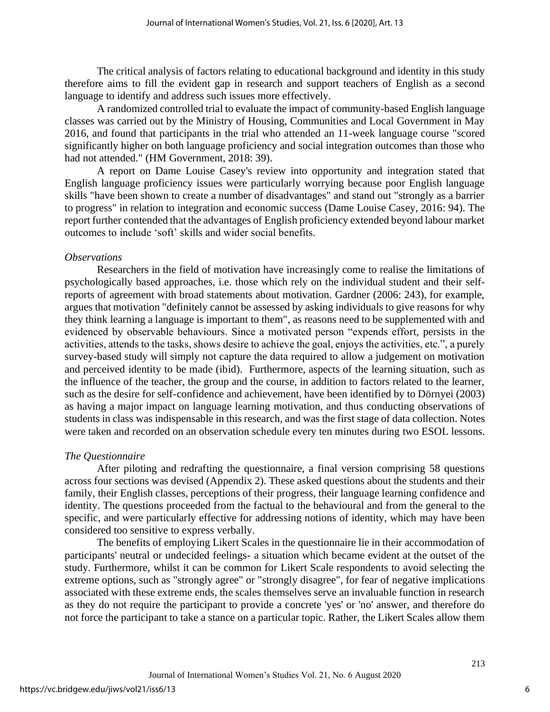The critical analysis of factors relating to educational background and identity in this study therefore aims to fill the evident gap in research and support teachers of English as a second language to identify and address such issues more effectively.

A randomized controlled trial to evaluate the impact of community-based English language classes was carried out by the Ministry of Housing, Communities and Local Government in May 2016, and found that participants in the trial who attended an 11-week language course "scored significantly higher on both language proficiency and social integration outcomes than those who had not attended." (HM Government, 2018: 39).

A report on Dame Louise Casey's review into opportunity and integration stated that English language proficiency issues were particularly worrying because poor English language skills "have been shown to create a number of disadvantages" and stand out "strongly as a barrier to progress" in relation to integration and economic success (Dame Louise Casey, 2016: 94). The report further contended that the advantages of English proficiency extended beyond labour market outcomes to include 'soft' skills and wider social benefits.

#### *Observations*

Researchers in the field of motivation have increasingly come to realise the limitations of psychologically based approaches, i.e. those which rely on the individual student and their selfreports of agreement with broad statements about motivation. Gardner (2006: 243), for example, argues that motivation "definitely cannot be assessed by asking individuals to give reasons for why they think learning a language is important to them", as reasons need to be supplemented with and evidenced by observable behaviours. Since a motivated person "expends effort, persists in the activities, attends to the tasks, shows desire to achieve the goal, enjoys the activities, etc.", a purely survey-based study will simply not capture the data required to allow a judgement on motivation and perceived identity to be made (ibid). Furthermore, aspects of the learning situation, such as the influence of the teacher, the group and the course, in addition to factors related to the learner, such as the desire for self-confidence and achievement, have been identified by to Dörnyei (2003) as having a major impact on language learning motivation, and thus conducting observations of students in class was indispensable in this research, and was the first stage of data collection. Notes were taken and recorded on an observation schedule every ten minutes during two ESOL lessons.

#### *The Questionnaire*

After piloting and redrafting the questionnaire, a final version comprising 58 questions across four sections was devised (Appendix 2). These asked questions about the students and their family, their English classes, perceptions of their progress, their language learning confidence and identity. The questions proceeded from the factual to the behavioural and from the general to the specific, and were particularly effective for addressing notions of identity, which may have been considered too sensitive to express verbally.

The benefits of employing Likert Scales in the questionnaire lie in their accommodation of participants' neutral or undecided feelings- a situation which became evident at the outset of the study. Furthermore, whilst it can be common for Likert Scale respondents to avoid selecting the extreme options, such as "strongly agree" or "strongly disagree", for fear of negative implications associated with these extreme ends, the scales themselves serve an invaluable function in research as they do not require the participant to provide a concrete 'yes' or 'no' answer, and therefore do not force the participant to take a stance on a particular topic. Rather, the Likert Scales allow them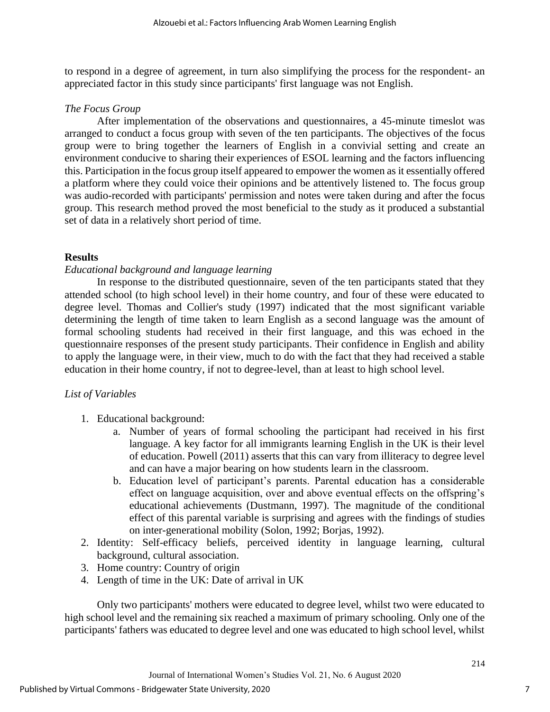to respond in a degree of agreement, in turn also simplifying the process for the respondent- an appreciated factor in this study since participants' first language was not English.

## *The Focus Group*

After implementation of the observations and questionnaires, a 45-minute timeslot was arranged to conduct a focus group with seven of the ten participants. The objectives of the focus group were to bring together the learners of English in a convivial setting and create an environment conducive to sharing their experiences of ESOL learning and the factors influencing this. Participation in the focus group itself appeared to empower the women as it essentially offered a platform where they could voice their opinions and be attentively listened to. The focus group was audio-recorded with participants' permission and notes were taken during and after the focus group. This research method proved the most beneficial to the study as it produced a substantial set of data in a relatively short period of time.

## **Results**

## *Educational background and language learning*

In response to the distributed questionnaire, seven of the ten participants stated that they attended school (to high school level) in their home country, and four of these were educated to degree level. Thomas and Collier's study (1997) indicated that the most significant variable determining the length of time taken to learn English as a second language was the amount of formal schooling students had received in their first language, and this was echoed in the questionnaire responses of the present study participants. Their confidence in English and ability to apply the language were, in their view, much to do with the fact that they had received a stable education in their home country, if not to degree-level, than at least to high school level.

## *List of Variables*

- 1. Educational background:
	- a. Number of years of formal schooling the participant had received in his first language. A key factor for all immigrants learning English in the UK is their level of education. Powell (2011) asserts that this can vary from illiteracy to degree level and can have a major bearing on how students learn in the classroom.
	- b. Education level of participant's parents. Parental education has a considerable effect on language acquisition, over and above eventual effects on the offspring's educational achievements (Dustmann, 1997). The magnitude of the conditional effect of this parental variable is surprising and agrees with the findings of studies on inter-generational mobility (Solon, 1992; Borjas, 1992).
- 2. Identity: Self-efficacy beliefs, perceived identity in language learning, cultural background, cultural association.
- 3. Home country: Country of origin
- 4. Length of time in the UK: Date of arrival in UK

Only two participants' mothers were educated to degree level, whilst two were educated to high school level and the remaining six reached a maximum of primary schooling. Only one of the participants' fathers was educated to degree level and one was educated to high school level, whilst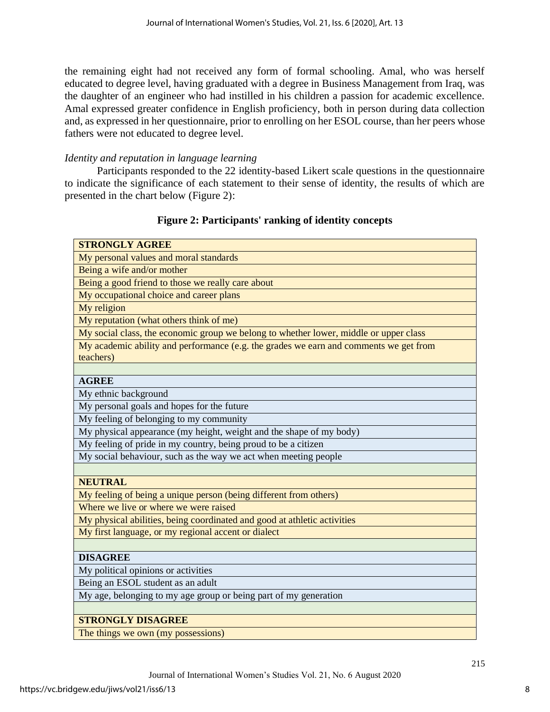the remaining eight had not received any form of formal schooling. Amal, who was herself educated to degree level, having graduated with a degree in Business Management from Iraq, was the daughter of an engineer who had instilled in his children a passion for academic excellence. Amal expressed greater confidence in English proficiency, both in person during data collection and, as expressed in her questionnaire, prior to enrolling on her ESOL course, than her peers whose fathers were not educated to degree level.

## *Identity and reputation in language learning*

Participants responded to the 22 identity-based Likert scale questions in the questionnaire to indicate the significance of each statement to their sense of identity, the results of which are presented in the chart below (Figure 2):

## **Figure 2: Participants' ranking of identity concepts**

| <b>STRONGLY AGREE</b>                                                                              |
|----------------------------------------------------------------------------------------------------|
| My personal values and moral standards                                                             |
| Being a wife and/or mother                                                                         |
| Being a good friend to those we really care about                                                  |
| My occupational choice and career plans                                                            |
| My religion                                                                                        |
| My reputation (what others think of me)                                                            |
| My social class, the economic group we belong to whether lower, middle or upper class              |
| My academic ability and performance (e.g. the grades we earn and comments we get from<br>teachers) |
|                                                                                                    |
| <b>AGREE</b>                                                                                       |
| My ethnic background                                                                               |
| My personal goals and hopes for the future                                                         |
| My feeling of belonging to my community                                                            |
| My physical appearance (my height, weight and the shape of my body)                                |
| My feeling of pride in my country, being proud to be a citizen                                     |
| My social behaviour, such as the way we act when meeting people                                    |
|                                                                                                    |
| <b>NEUTRAL</b>                                                                                     |
| My feeling of being a unique person (being different from others)                                  |
| Where we live or where we were raised                                                              |
| My physical abilities, being coordinated and good at athletic activities                           |
| My first language, or my regional accent or dialect                                                |
|                                                                                                    |
| <b>DISAGREE</b>                                                                                    |
| My political opinions or activities                                                                |
| Being an ESOL student as an adult                                                                  |
| My age, belonging to my age group or being part of my generation                                   |
|                                                                                                    |
| <b>STRONGLY DISAGREE</b>                                                                           |
| The things we own (my possessions)                                                                 |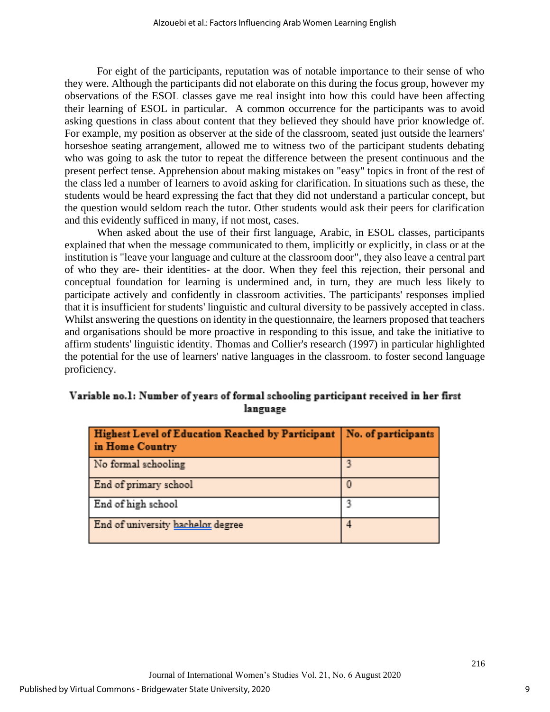For eight of the participants, reputation was of notable importance to their sense of who they were. Although the participants did not elaborate on this during the focus group, however my observations of the ESOL classes gave me real insight into how this could have been affecting their learning of ESOL in particular. A common occurrence for the participants was to avoid asking questions in class about content that they believed they should have prior knowledge of. For example, my position as observer at the side of the classroom, seated just outside the learners' horseshoe seating arrangement, allowed me to witness two of the participant students debating who was going to ask the tutor to repeat the difference between the present continuous and the present perfect tense. Apprehension about making mistakes on "easy" topics in front of the rest of the class led a number of learners to avoid asking for clarification. In situations such as these, the students would be heard expressing the fact that they did not understand a particular concept, but the question would seldom reach the tutor. Other students would ask their peers for clarification and this evidently sufficed in many, if not most, cases.

When asked about the use of their first language, Arabic, in ESOL classes, participants explained that when the message communicated to them, implicitly or explicitly, in class or at the institution is "leave your language and culture at the classroom door", they also leave a central part of who they are- their identities- at the door. When they feel this rejection, their personal and conceptual foundation for learning is undermined and, in turn, they are much less likely to participate actively and confidently in classroom activities. The participants' responses implied that it is insufficient for students' linguistic and cultural diversity to be passively accepted in class. Whilst answering the questions on identity in the questionnaire, the learners proposed that teachers and organisations should be more proactive in responding to this issue, and take the initiative to affirm students' linguistic identity. Thomas and Collier's research (1997) in particular highlighted the potential for the use of learners' native languages in the classroom. to foster second language proficiency.

| Variable no.1: Number of years of formal schooling participant received in her first |  |
|--------------------------------------------------------------------------------------|--|
| language                                                                             |  |

| Highest Level of Education Reached by Participant   No. of participants<br>in Home Country |  |
|--------------------------------------------------------------------------------------------|--|
| No formal schooling                                                                        |  |
| End of primary school                                                                      |  |
| End of high school                                                                         |  |
| End of university hachelor degree                                                          |  |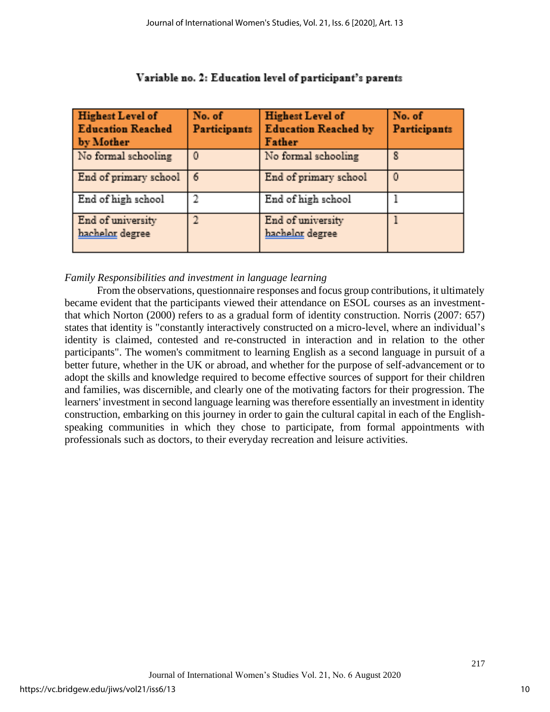| <b>Highest Level of</b><br><b>Education Reached</b><br>by Mother | No. of<br><b>Participants</b> | <b>Highest Level of</b><br><b>Education Reached by</b><br>Father | No. of<br>Participants |
|------------------------------------------------------------------|-------------------------------|------------------------------------------------------------------|------------------------|
| No formal schooling                                              |                               | No formal schooling                                              | 8                      |
| End of primary school                                            | 斋                             | End of primary school                                            | $\Omega$               |
| End of high school                                               | $\mathfrak{D}$                | End of high school                                               |                        |
| End of university<br>bachelor degree                             | $\overline{\mathcal{X}}$      | End of university<br>bachelor degree                             |                        |

## Variable no. 2: Education level of participant's parents

## *Family Responsibilities and investment in language learning*

From the observations, questionnaire responses and focus group contributions, it ultimately became evident that the participants viewed their attendance on ESOL courses as an investmentthat which Norton (2000) refers to as a gradual form of identity construction. Norris (2007: 657) states that identity is "constantly interactively constructed on a micro-level, where an individual's identity is claimed, contested and re-constructed in interaction and in relation to the other participants". The women's commitment to learning English as a second language in pursuit of a better future, whether in the UK or abroad, and whether for the purpose of self-advancement or to adopt the skills and knowledge required to become effective sources of support for their children and families, was discernible, and clearly one of the motivating factors for their progression. The learners' investment in second language learning was therefore essentially an investment in identity construction, embarking on this journey in order to gain the cultural capital in each of the Englishspeaking communities in which they chose to participate, from formal appointments with professionals such as doctors, to their everyday recreation and leisure activities.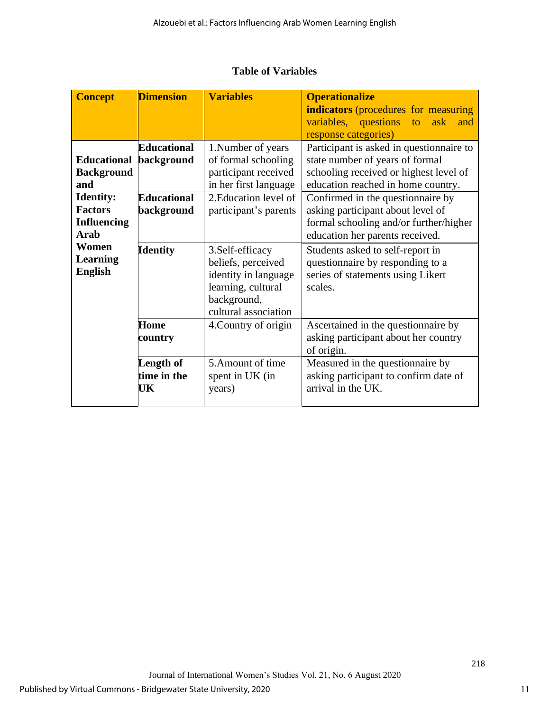|  |  | <b>Table of Variables</b> |
|--|--|---------------------------|
|--|--|---------------------------|

| <b>Concept</b>                                                          | <b>Dimension</b>                 | <b>Variables</b>                                                                                                            | <b>Operationalize</b><br><b>indicators</b> (procedures for measuring<br>variables, questions<br>ask<br>to<br>and<br>response categories)                    |
|-------------------------------------------------------------------------|----------------------------------|-----------------------------------------------------------------------------------------------------------------------------|-------------------------------------------------------------------------------------------------------------------------------------------------------------|
| <b>Educational</b><br><b>Background</b><br>and                          | <b>Educational</b><br>background | 1. Number of years<br>of formal schooling<br>participant received<br>in her first language                                  | Participant is asked in questionnaire to<br>state number of years of formal<br>schooling received or highest level of<br>education reached in home country. |
| <b>Identity:</b><br><b>Factors</b><br><b>Influencing</b><br><b>Arab</b> | <b>Educational</b><br>background | 2. Education level of<br>participant's parents                                                                              | Confirmed in the questionnaire by<br>asking participant about level of<br>formal schooling and/or further/higher<br>education her parents received.         |
| Women<br><b>Learning</b><br><b>English</b>                              | <b>Identity</b>                  | 3. Self-efficacy<br>beliefs, perceived<br>identity in language<br>learning, cultural<br>background,<br>cultural association | Students asked to self-report in<br>questionnaire by responding to a<br>series of statements using Likert<br>scales.                                        |
|                                                                         | Home<br>country                  | 4. Country of origin                                                                                                        | Ascertained in the questionnaire by<br>asking participant about her country<br>of origin.                                                                   |
|                                                                         | Length of<br>time in the<br>UK   | 5. Amount of time<br>spent in UK (in<br>years)                                                                              | Measured in the questionnaire by<br>asking participant to confirm date of<br>arrival in the UK.                                                             |

11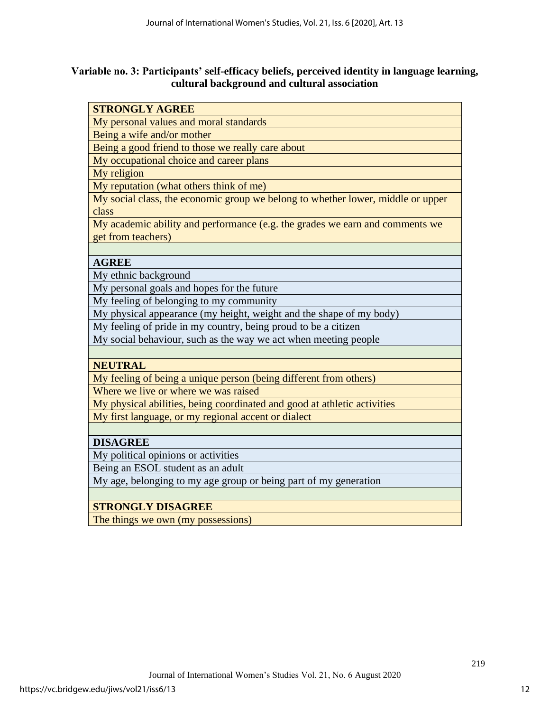## **Variable no. 3: Participants' self-efficacy beliefs, perceived identity in language learning, cultural background and cultural association**

| <b>STRONGLY AGREE</b>                                                           |
|---------------------------------------------------------------------------------|
| My personal values and moral standards                                          |
| Being a wife and/or mother                                                      |
| Being a good friend to those we really care about                               |
| My occupational choice and career plans                                         |
| My religion                                                                     |
| My reputation (what others think of me)                                         |
| My social class, the economic group we belong to whether lower, middle or upper |
| class                                                                           |
| My academic ability and performance (e.g. the grades we earn and comments we    |
| get from teachers)                                                              |
|                                                                                 |
| <b>AGREE</b>                                                                    |
| My ethnic background                                                            |
| My personal goals and hopes for the future                                      |
| My feeling of belonging to my community                                         |
| My physical appearance (my height, weight and the shape of my body)             |
| My feeling of pride in my country, being proud to be a citizen                  |
| My social behaviour, such as the way we act when meeting people                 |
|                                                                                 |
| <b>NEUTRAL</b>                                                                  |
| My feeling of being a unique person (being different from others)               |
| Where we live or where we was raised                                            |
| My physical abilities, being coordinated and good at athletic activities        |
| My first language, or my regional accent or dialect                             |
|                                                                                 |
| <b>DISAGREE</b>                                                                 |
| My political opinions or activities                                             |
| Being an ESOL student as an adult                                               |
| My age, belonging to my age group or being part of my generation                |
|                                                                                 |
| <b>STRONGLY DISAGREE</b>                                                        |
| The things we own (my possessions)                                              |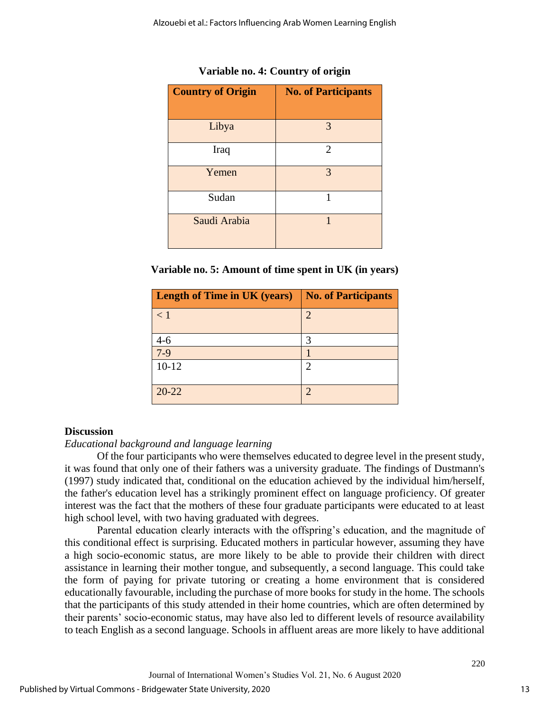| <b>Country of Origin</b> | <b>No. of Participants</b> |  |  |  |
|--------------------------|----------------------------|--|--|--|
|                          |                            |  |  |  |
| Libya                    | 3                          |  |  |  |
| Iraq                     | 2                          |  |  |  |
| Yemen                    | 3                          |  |  |  |
| Sudan                    | 1                          |  |  |  |
| Saudi Arabia             | 1                          |  |  |  |

**Variable no. 4: Country of origin**

| Variable no. 5: Amount of time spent in UK (in years) |  |  |  |  |  |
|-------------------------------------------------------|--|--|--|--|--|
|-------------------------------------------------------|--|--|--|--|--|

| <b>Length of Time in UK (years)</b> | <b>No. of Participants</b>  |
|-------------------------------------|-----------------------------|
| $\lt 1$                             | 2                           |
| $4 - 6$                             | 3                           |
| $7-9$                               |                             |
| $10 - 12$                           | $\mathcal{D}_{\mathcal{L}}$ |
| $20 - 22$                           | 2                           |

## **Discussion**

## *Educational background and language learning*

Of the four participants who were themselves educated to degree level in the present study, it was found that only one of their fathers was a university graduate. The findings of Dustmann's (1997) study indicated that, conditional on the education achieved by the individual him/herself, the father's education level has a strikingly prominent effect on language proficiency. Of greater interest was the fact that the mothers of these four graduate participants were educated to at least high school level, with two having graduated with degrees.

Parental education clearly interacts with the offspring's education, and the magnitude of this conditional effect is surprising. Educated mothers in particular however, assuming they have a high socio-economic status, are more likely to be able to provide their children with direct assistance in learning their mother tongue, and subsequently, a second language. This could take the form of paying for private tutoring or creating a home environment that is considered educationally favourable, including the purchase of more books for study in the home. The schools that the participants of this study attended in their home countries, which are often determined by their parents' socio-economic status, may have also led to different levels of resource availability to teach English as a second language. Schools in affluent areas are more likely to have additional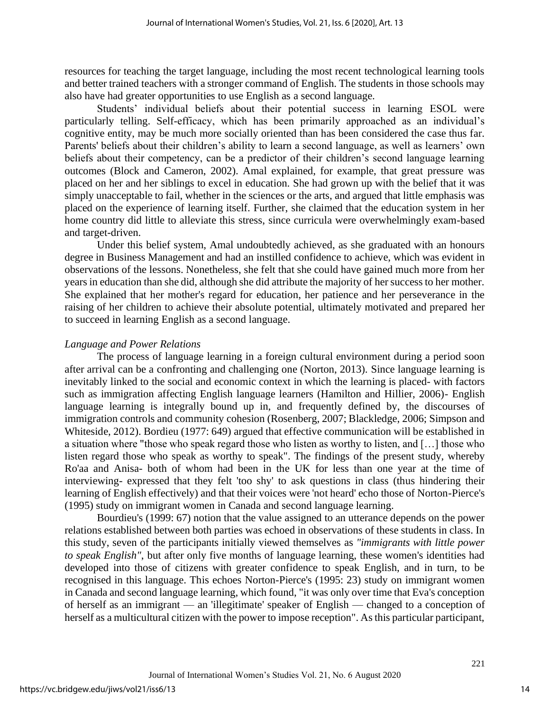resources for teaching the target language, including the most recent technological learning tools and better trained teachers with a stronger command of English. The students in those schools may also have had greater opportunities to use English as a second language.

Students' individual beliefs about their potential success in learning ESOL were particularly telling. Self-efficacy, which has been primarily approached as an individual's cognitive entity, may be much more socially oriented than has been considered the case thus far. Parents' beliefs about their children's ability to learn a second language, as well as learners' own beliefs about their competency, can be a predictor of their children's second language learning outcomes (Block and Cameron, 2002). Amal explained, for example, that great pressure was placed on her and her siblings to excel in education. She had grown up with the belief that it was simply unacceptable to fail, whether in the sciences or the arts, and argued that little emphasis was placed on the experience of learning itself. Further, she claimed that the education system in her home country did little to alleviate this stress, since curricula were overwhelmingly exam-based and target-driven.

Under this belief system, Amal undoubtedly achieved, as she graduated with an honours degree in Business Management and had an instilled confidence to achieve, which was evident in observations of the lessons. Nonetheless, she felt that she could have gained much more from her years in education than she did, although she did attribute the majority of her success to her mother. She explained that her mother's regard for education, her patience and her perseverance in the raising of her children to achieve their absolute potential, ultimately motivated and prepared her to succeed in learning English as a second language.

#### *Language and Power Relations*

The process of language learning in a foreign cultural environment during a period soon after arrival can be a confronting and challenging one (Norton, 2013). Since language learning is inevitably linked to the social and economic context in which the learning is placed- with factors such as immigration affecting English language learners (Hamilton and Hillier, 2006)- English language learning is integrally bound up in, and frequently defined by, the discourses of immigration controls and community cohesion (Rosenberg, 2007; Blackledge, 2006; Simpson and Whiteside, 2012). Bordieu (1977: 649) argued that effective communication will be established in a situation where "those who speak regard those who listen as worthy to listen, and […] those who listen regard those who speak as worthy to speak". The findings of the present study, whereby Ro'aa and Anisa- both of whom had been in the UK for less than one year at the time of interviewing- expressed that they felt 'too shy' to ask questions in class (thus hindering their learning of English effectively) and that their voices were 'not heard' echo those of Norton-Pierce's (1995) study on immigrant women in Canada and second language learning.

Bourdieu's (1999: 67) notion that the value assigned to an utterance depends on the power relations established between both parties was echoed in observations of these students in class. In this study, seven of the participants initially viewed themselves as *"immigrants with little power to speak English"*, but after only five months of language learning, these women's identities had developed into those of citizens with greater confidence to speak English, and in turn, to be recognised in this language. This echoes Norton-Pierce's (1995: 23) study on immigrant women in Canada and second language learning, which found, "it was only over time that Eva's conception of herself as an immigrant — an 'illegitimate' speaker of English — changed to a conception of herself as a multicultural citizen with the power to impose reception". As this particular participant,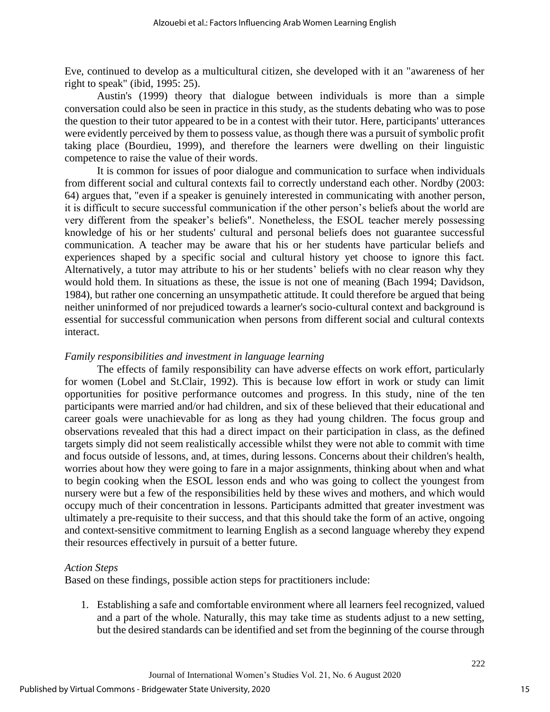Eve, continued to develop as a multicultural citizen, she developed with it an "awareness of her right to speak" (ibid, 1995: 25).

Austin's (1999) theory that dialogue between individuals is more than a simple conversation could also be seen in practice in this study, as the students debating who was to pose the question to their tutor appeared to be in a contest with their tutor. Here, participants' utterances were evidently perceived by them to possess value, as though there was a pursuit of symbolic profit taking place (Bourdieu, 1999), and therefore the learners were dwelling on their linguistic competence to raise the value of their words.

It is common for issues of poor dialogue and communication to surface when individuals from different social and cultural contexts fail to correctly understand each other. Nordby (2003: 64) argues that, "even if a speaker is genuinely interested in communicating with another person, it is difficult to secure successful communication if the other person's beliefs about the world are very different from the speaker's beliefs". Nonetheless, the ESOL teacher merely possessing knowledge of his or her students' cultural and personal beliefs does not guarantee successful communication. A teacher may be aware that his or her students have particular beliefs and experiences shaped by a specific social and cultural history yet choose to ignore this fact. Alternatively, a tutor may attribute to his or her students' beliefs with no clear reason why they would hold them. In situations as these, the issue is not one of meaning (Bach 1994; Davidson, 1984), but rather one concerning an unsympathetic attitude. It could therefore be argued that being neither uninformed of nor prejudiced towards a learner's socio-cultural context and background is essential for successful communication when persons from different social and cultural contexts interact.

#### *Family responsibilities and investment in language learning*

The effects of family responsibility can have adverse effects on work effort, particularly for women (Lobel and St.Clair, 1992). This is because low effort in work or study can limit opportunities for positive performance outcomes and progress. In this study, nine of the ten participants were married and/or had children, and six of these believed that their educational and career goals were unachievable for as long as they had young children. The focus group and observations revealed that this had a direct impact on their participation in class, as the defined targets simply did not seem realistically accessible whilst they were not able to commit with time and focus outside of lessons, and, at times, during lessons. Concerns about their children's health, worries about how they were going to fare in a major assignments, thinking about when and what to begin cooking when the ESOL lesson ends and who was going to collect the youngest from nursery were but a few of the responsibilities held by these wives and mothers, and which would occupy much of their concentration in lessons. Participants admitted that greater investment was ultimately a pre-requisite to their success, and that this should take the form of an active, ongoing and context-sensitive commitment to learning English as a second language whereby they expend their resources effectively in pursuit of a better future.

#### *Action Steps*

Based on these findings, possible action steps for practitioners include:

1. Establishing a safe and comfortable environment where all learners feel recognized, valued and a part of the whole. Naturally, this may take time as students adjust to a new setting, but the desired standards can be identified and set from the beginning of the course through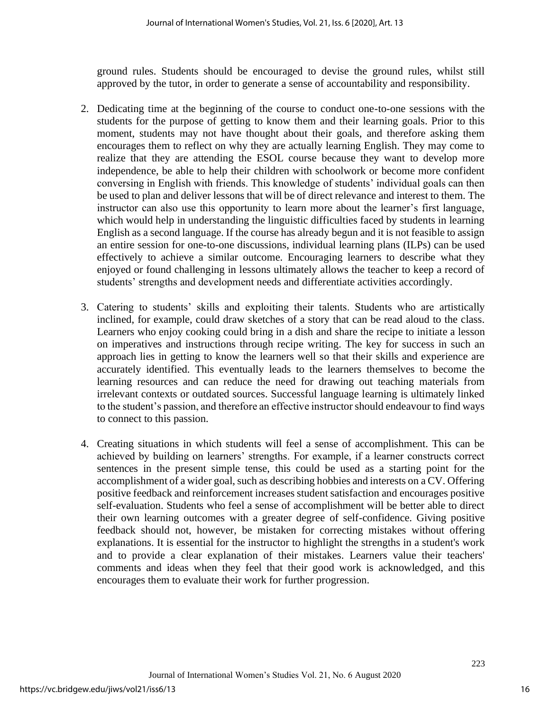ground rules. Students should be encouraged to devise the ground rules, whilst still approved by the tutor, in order to generate a sense of accountability and responsibility.

- 2. Dedicating time at the beginning of the course to conduct one-to-one sessions with the students for the purpose of getting to know them and their learning goals. Prior to this moment, students may not have thought about their goals, and therefore asking them encourages them to reflect on why they are actually learning English. They may come to realize that they are attending the ESOL course because they want to develop more independence, be able to help their children with schoolwork or become more confident conversing in English with friends. This knowledge of students' individual goals can then be used to plan and deliver lessons that will be of direct relevance and interest to them. The instructor can also use this opportunity to learn more about the learner's first language, which would help in understanding the linguistic difficulties faced by students in learning English as a second language. If the course has already begun and it is not feasible to assign an entire session for one-to-one discussions, individual learning plans (ILPs) can be used effectively to achieve a similar outcome. Encouraging learners to describe what they enjoyed or found challenging in lessons ultimately allows the teacher to keep a record of students' strengths and development needs and differentiate activities accordingly.
- 3. Catering to students' skills and exploiting their talents. Students who are artistically inclined, for example, could draw sketches of a story that can be read aloud to the class. Learners who enjoy cooking could bring in a dish and share the recipe to initiate a lesson on imperatives and instructions through recipe writing. The key for success in such an approach lies in getting to know the learners well so that their skills and experience are accurately identified. This eventually leads to the learners themselves to become the learning resources and can reduce the need for drawing out teaching materials from irrelevant contexts or outdated sources. Successful language learning is ultimately linked to the student's passion, and therefore an effective instructor should endeavour to find ways to connect to this passion.
- 4. Creating situations in which students will feel a sense of accomplishment. This can be achieved by building on learners' strengths. For example, if a learner constructs correct sentences in the present simple tense, this could be used as a starting point for the accomplishment of a wider goal, such as describing hobbies and interests on a CV. Offering positive feedback and reinforcement increases student satisfaction and encourages positive self-evaluation. Students who feel a sense of accomplishment will be better able to direct their own learning outcomes with a greater degree of self-confidence. Giving positive feedback should not, however, be mistaken for correcting mistakes without offering explanations. It is essential for the instructor to highlight the strengths in a student's work and to provide a clear explanation of their mistakes. Learners value their teachers' comments and ideas when they feel that their good work is acknowledged, and this encourages them to evaluate their work for further progression.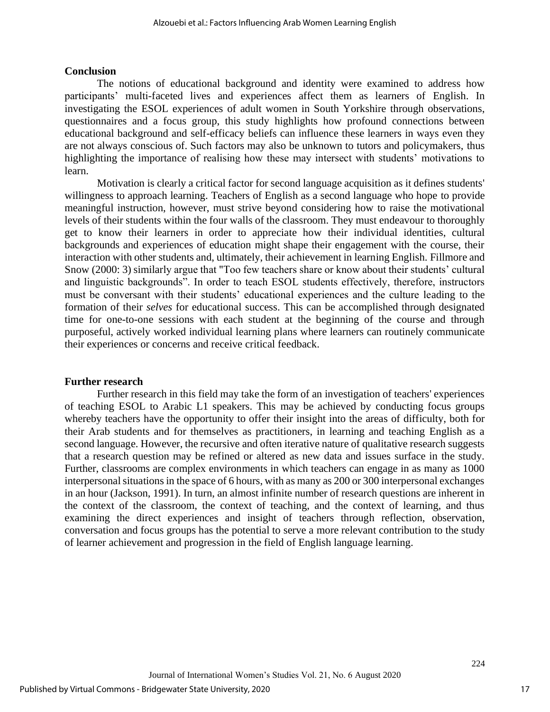#### **Conclusion**

The notions of educational background and identity were examined to address how participants' multi-faceted lives and experiences affect them as learners of English. In investigating the ESOL experiences of adult women in South Yorkshire through observations, questionnaires and a focus group, this study highlights how profound connections between educational background and self-efficacy beliefs can influence these learners in ways even they are not always conscious of. Such factors may also be unknown to tutors and policymakers, thus highlighting the importance of realising how these may intersect with students' motivations to learn.

Motivation is clearly a critical factor for second language acquisition as it defines students' willingness to approach learning. Teachers of English as a second language who hope to provide meaningful instruction, however, must strive beyond considering how to raise the motivational levels of their students within the four walls of the classroom. They must endeavour to thoroughly get to know their learners in order to appreciate how their individual identities, cultural backgrounds and experiences of education might shape their engagement with the course, their interaction with other students and, ultimately, their achievement in learning English. Fillmore and Snow (2000: 3) similarly argue that "Too few teachers share or know about their students' cultural and linguistic backgrounds". In order to teach ESOL students effectively, therefore, instructors must be conversant with their students' educational experiences and the culture leading to the formation of their *selves* for educational success. This can be accomplished through designated time for one-to-one sessions with each student at the beginning of the course and through purposeful, actively worked individual learning plans where learners can routinely communicate their experiences or concerns and receive critical feedback.

#### **Further research**

Further research in this field may take the form of an investigation of teachers' experiences of teaching ESOL to Arabic L1 speakers. This may be achieved by conducting focus groups whereby teachers have the opportunity to offer their insight into the areas of difficulty, both for their Arab students and for themselves as practitioners, in learning and teaching English as a second language. However, the recursive and often iterative nature of qualitative research suggests that a research question may be refined or altered as new data and issues surface in the study. Further, classrooms are complex environments in which teachers can engage in as many as 1000 interpersonal situations in the space of 6 hours, with as many as 200 or 300 interpersonal exchanges in an hour (Jackson, 1991). In turn, an almost infinite number of research questions are inherent in the context of the classroom, the context of teaching, and the context of learning, and thus examining the direct experiences and insight of teachers through reflection, observation, conversation and focus groups has the potential to serve a more relevant contribution to the study of learner achievement and progression in the field of English language learning.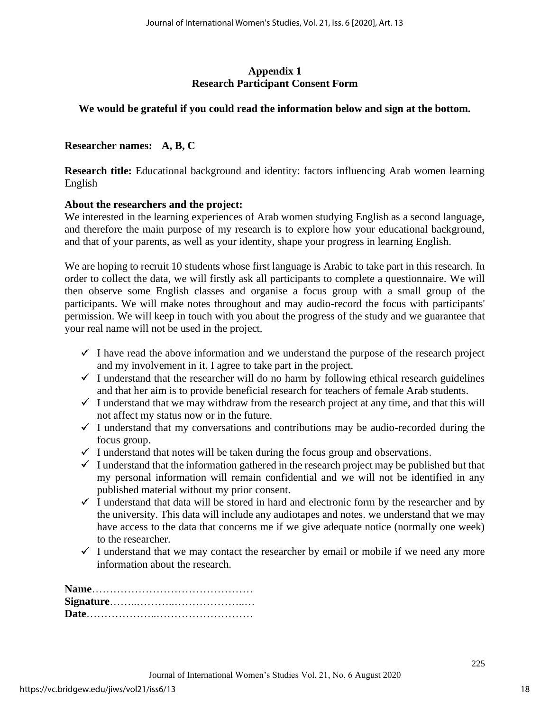## **Appendix 1 Research Participant Consent Form**

## **We would be grateful if you could read the information below and sign at the bottom.**

## **Researcher names: A, B, C**

**Research title:** Educational background and identity: factors influencing Arab women learning English

#### **About the researchers and the project:**

We interested in the learning experiences of Arab women studying English as a second language, and therefore the main purpose of my research is to explore how your educational background, and that of your parents, as well as your identity, shape your progress in learning English.

We are hoping to recruit 10 students whose first language is Arabic to take part in this research. In order to collect the data, we will firstly ask all participants to complete a questionnaire. We will then observe some English classes and organise a focus group with a small group of the participants. We will make notes throughout and may audio-record the focus with participants' permission. We will keep in touch with you about the progress of the study and we guarantee that your real name will not be used in the project.

- $\checkmark$  I have read the above information and we understand the purpose of the research project and my involvement in it. I agree to take part in the project.
- $\checkmark$  I understand that the researcher will do no harm by following ethical research guidelines and that her aim is to provide beneficial research for teachers of female Arab students.
- $\checkmark$  I understand that we may withdraw from the research project at any time, and that this will not affect my status now or in the future.
- $\checkmark$  I understand that my conversations and contributions may be audio-recorded during the focus group.
- $\checkmark$  I understand that notes will be taken during the focus group and observations.
- $\checkmark$  I understand that the information gathered in the research project may be published but that my personal information will remain confidential and we will not be identified in any published material without my prior consent.
- $\checkmark$  I understand that data will be stored in hard and electronic form by the researcher and by the university. This data will include any audiotapes and notes. we understand that we may have access to the data that concerns me if we give adequate notice (normally one week) to the researcher.
- $\checkmark$  I understand that we may contact the researcher by email or mobile if we need any more information about the research.

**Name**……………………………………… **Signature**……..………..………………..… **Date**………………..………………………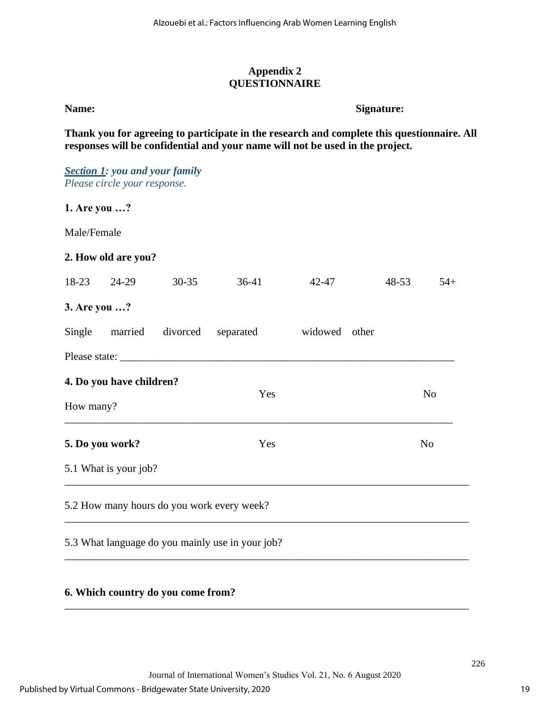## **Appendix 2 QUESTIONNAIRE**

## **Name:** Signature:

**Thank you for agreeing to participate in the research and complete this questionnaire. All responses will be confidential and your name will not be used in the project.**

|              | <b>Section 1: you and your family</b><br>Please circle your response. |           |                                                  |               |           |                |
|--------------|-----------------------------------------------------------------------|-----------|--------------------------------------------------|---------------|-----------|----------------|
| 1. Are you ? |                                                                       |           |                                                  |               |           |                |
| Male/Female  |                                                                       |           |                                                  |               |           |                |
|              | 2. How old are you?                                                   |           |                                                  |               |           |                |
| 18-23        | 24-29                                                                 | $30 - 35$ | $36-41$                                          | 42-47         | $48 - 53$ | $54+$          |
| 3. Are you ? |                                                                       |           |                                                  |               |           |                |
| Single       | married                                                               | divorced  | separated                                        | widowed other |           |                |
|              |                                                                       |           |                                                  |               |           |                |
|              | 4. Do you have children?                                              |           | Yes                                              |               |           | N <sub>o</sub> |
| How many?    |                                                                       |           |                                                  |               |           |                |
|              | 5. Do you work?                                                       |           | Yes                                              |               |           | N <sub>o</sub> |
|              | 5.1 What is your job?                                                 |           |                                                  |               |           |                |
|              |                                                                       |           | 5.2 How many hours do you work every week?       |               |           |                |
|              |                                                                       |           | 5.3 What language do you mainly use in your job? |               |           |                |

## **6. Which country do you come from?**

\_\_\_\_\_\_\_\_\_\_\_\_\_\_\_\_\_\_\_\_\_\_\_\_\_\_\_\_\_\_\_\_\_\_\_\_\_\_\_\_\_\_\_\_\_\_\_\_\_\_\_\_\_\_\_\_\_\_\_\_\_\_\_\_\_\_\_\_\_\_\_\_\_\_\_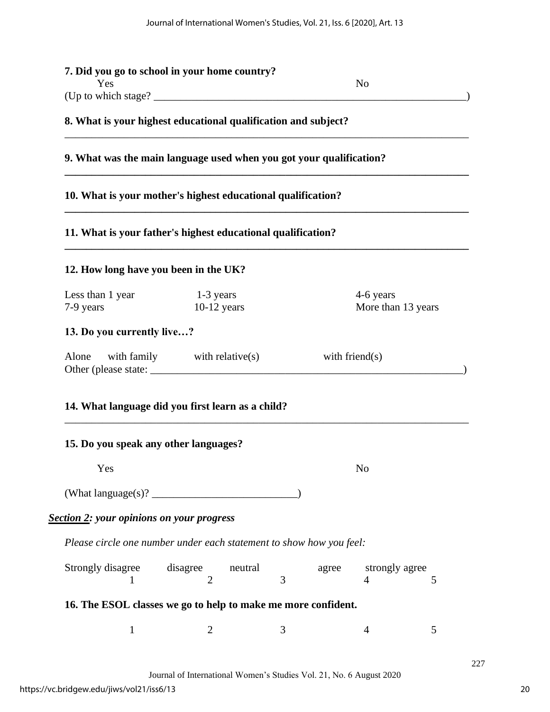| Yes                                                            |                                                                     | N <sub>0</sub>    |                                       |  |  |  |  |
|----------------------------------------------------------------|---------------------------------------------------------------------|-------------------|---------------------------------------|--|--|--|--|
| 8. What is your highest educational qualification and subject? |                                                                     |                   |                                       |  |  |  |  |
|                                                                |                                                                     |                   |                                       |  |  |  |  |
|                                                                | 9. What was the main language used when you got your qualification? |                   |                                       |  |  |  |  |
|                                                                | 10. What is your mother's highest educational qualification?        |                   |                                       |  |  |  |  |
|                                                                | 11. What is your father's highest educational qualification?        |                   |                                       |  |  |  |  |
| 12. How long have you been in the UK?                          |                                                                     |                   |                                       |  |  |  |  |
| Less than 1 year<br>7-9 years                                  | $1-3$ years<br>$10-12$ years                                        |                   | 4-6 years<br>More than 13 years       |  |  |  |  |
| 13. Do you currently live?                                     |                                                                     |                   |                                       |  |  |  |  |
|                                                                |                                                                     | with friend $(s)$ |                                       |  |  |  |  |
| Alone                                                          | with family $with$ relative(s)                                      |                   |                                       |  |  |  |  |
|                                                                | 14. What language did you first learn as a child?                   |                   |                                       |  |  |  |  |
| 15. Do you speak any other languages?                          |                                                                     |                   |                                       |  |  |  |  |
| Yes                                                            |                                                                     |                   | N <sub>o</sub>                        |  |  |  |  |
|                                                                |                                                                     |                   |                                       |  |  |  |  |
| <b>Section 2: your opinions on your progress</b>               |                                                                     |                   |                                       |  |  |  |  |
|                                                                | Please circle one number under each statement to show how you feel: |                   |                                       |  |  |  |  |
| Strongly disagree                                              | disagree<br>neutral<br>3<br>$\overline{2}$                          | agree             | strongly agree<br>$\overline{4}$<br>5 |  |  |  |  |
|                                                                | 16. The ESOL classes we go to help to make me more confident.       |                   |                                       |  |  |  |  |
| $\mathbf{1}$                                                   | $\overline{2}$<br>3                                                 |                   | 5<br>$\overline{4}$                   |  |  |  |  |

Journal of International Women's Studies Vol. 21, No. 6 August 2020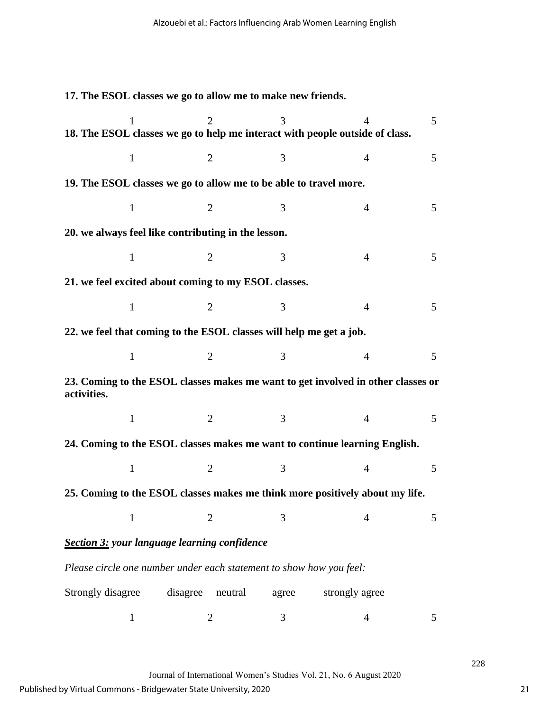**17. The ESOL classes we go to allow me to make new friends.**   $1 2 3 4 5$ **18. The ESOL classes we go to help me interact with people outside of class.**   $1 2 3 4 5$ **19. The ESOL classes we go to allow me to be able to travel more.**   $1 2 3 4 5$ **20. we always feel like contributing in the lesson.**  $1 2 3 4 5$ **21. we feel excited about coming to my ESOL classes.**  $1 \t 2 \t 3 \t 4 \t 5$ **22. we feel that coming to the ESOL classes will help me get a job.**   $1 2 3 4 5$ **23. Coming to the ESOL classes makes me want to get involved in other classes or activities.**  $1 2 3 4 5$ **24. Coming to the ESOL classes makes me want to continue learning English.**  $1 2 3 4 5$ **25. Coming to the ESOL classes makes me think more positively about my life.**  $1 2 3 4 5$ *Section 3: your language learning confidence Please circle one number under each statement to show how you feel:* Strongly disagree disagree neutral agree strongly agree  $1 2 3 4 5$ 

Journal of International Women's Studies Vol. 21, No. 6 August 2020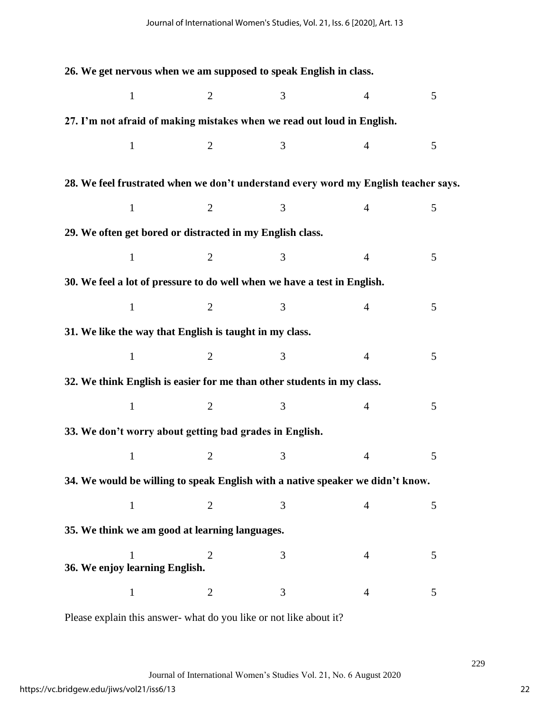**26. We get nervous when we am supposed to speak English in class.**   $1 2 3 4 5$ **27. I'm not afraid of making mistakes when we read out loud in English.**  $1 2 3 4 5$ **28. We feel frustrated when we don't understand every word my English teacher says.**  $1 2 3 4 5$ **29. We often get bored or distracted in my English class.**   $1 2 3 4 5$ **30. We feel a lot of pressure to do well when we have a test in English.**   $1 \t 2 \t 3 \t 4 \t 5$ **31. We like the way that English is taught in my class.**  $1 2 3 4 5$ **32. We think English is easier for me than other students in my class.**   $1 \t 2 \t 3 \t 4 \t 5$ **33. We don't worry about getting bad grades in English.**   $1 2 3 4 5$ **34. We would be willing to speak English with a native speaker we didn't know.**   $1 2 3 4 5$ **35. We think we am good at learning languages.**  $1 2 3 4 5$ **36. We enjoy learning English.**   $1 2 3 4 5$ 

Please explain this answer- what do you like or not like about it?

Journal of International Women's Studies Vol. 21, No. 6 August 2020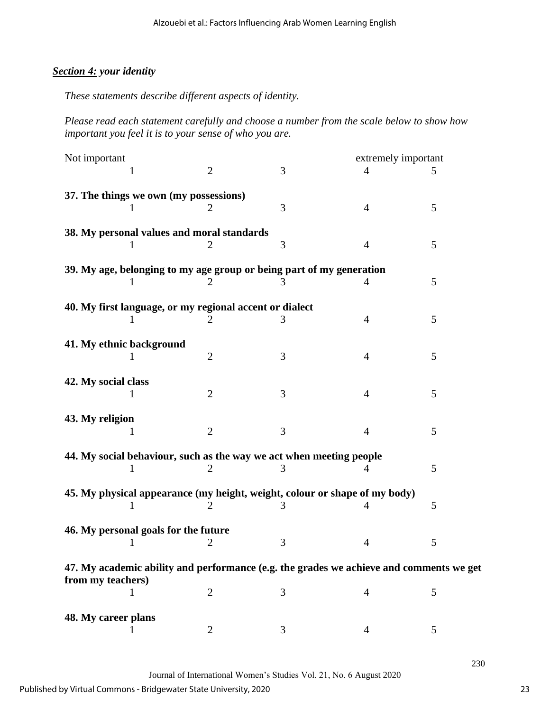## *Section 4: your identity*

*These statements describe different aspects of identity.*

*Please read each statement carefully and choose a number from the scale below to show how important you feel it is to your sense of who you are.*

| Not important                                                                           |                | extremely important |                |   |  |  |  |  |
|-----------------------------------------------------------------------------------------|----------------|---------------------|----------------|---|--|--|--|--|
|                                                                                         | $\overline{2}$ | 3                   | 4              | 5 |  |  |  |  |
| 37. The things we own (my possessions)                                                  |                |                     |                |   |  |  |  |  |
|                                                                                         | 2              | 3                   | 4              | 5 |  |  |  |  |
| 38. My personal values and moral standards                                              |                |                     |                |   |  |  |  |  |
|                                                                                         |                | 3                   | 4              | 5 |  |  |  |  |
| 39. My age, belonging to my age group or being part of my generation                    |                |                     |                |   |  |  |  |  |
|                                                                                         | 2              | 3                   | 4              | 5 |  |  |  |  |
|                                                                                         |                |                     |                |   |  |  |  |  |
| 40. My first language, or my regional accent or dialect                                 |                | 3                   | 4              | 5 |  |  |  |  |
|                                                                                         |                |                     |                |   |  |  |  |  |
| 41. My ethnic background<br>1                                                           | $\overline{2}$ | 3                   | $\overline{4}$ | 5 |  |  |  |  |
|                                                                                         |                |                     |                |   |  |  |  |  |
| 42. My social class                                                                     | $\overline{2}$ | 3                   | 4              | 5 |  |  |  |  |
|                                                                                         |                |                     |                |   |  |  |  |  |
| 43. My religion                                                                         |                |                     |                |   |  |  |  |  |
| 1                                                                                       | $\overline{2}$ | 3                   | 4              | 5 |  |  |  |  |
| 44. My social behaviour, such as the way we act when meeting people                     |                |                     |                |   |  |  |  |  |
|                                                                                         |                |                     |                | 5 |  |  |  |  |
| 45. My physical appearance (my height, weight, colour or shape of my body)              |                |                     |                |   |  |  |  |  |
| 1                                                                                       | 2              |                     | 4              | 5 |  |  |  |  |
| 46. My personal goals for the future                                                    |                |                     |                |   |  |  |  |  |
|                                                                                         | 2              | 3                   | 4              | 5 |  |  |  |  |
| 47. My academic ability and performance (e.g. the grades we achieve and comments we get |                |                     |                |   |  |  |  |  |
| from my teachers)                                                                       |                |                     |                |   |  |  |  |  |
| 1                                                                                       | $\mathbf{2}$   | 3                   | 4              | 5 |  |  |  |  |
| 48. My career plans                                                                     |                |                     |                |   |  |  |  |  |
|                                                                                         | 2              | 3                   | 4              | 5 |  |  |  |  |

Journal of International Women's Studies Vol. 21, No. 6 August 2020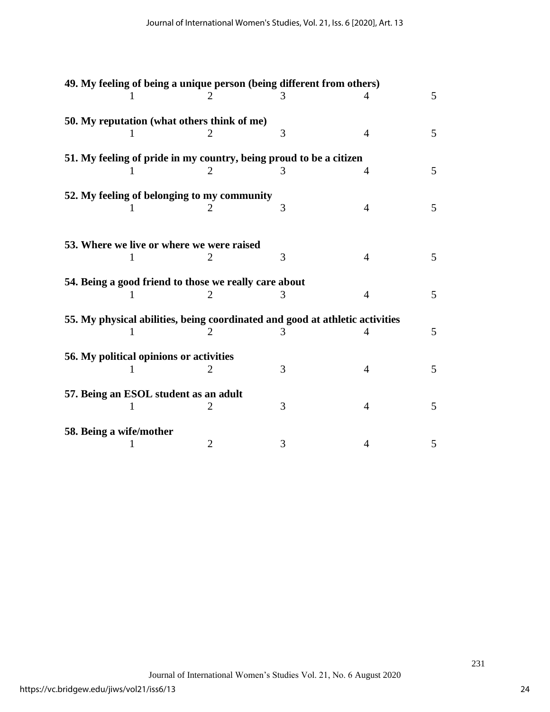|                         |                                                       |                | 49. My feeling of being a unique person (being different from others)        |                |   |
|-------------------------|-------------------------------------------------------|----------------|------------------------------------------------------------------------------|----------------|---|
|                         |                                                       |                | 3                                                                            | 4              | 5 |
|                         | 50. My reputation (what others think of me)           |                |                                                                              |                |   |
|                         |                                                       |                | 3                                                                            | $\overline{4}$ | 5 |
|                         |                                                       |                | 51. My feeling of pride in my country, being proud to be a citizen           |                |   |
|                         |                                                       | 2              | 3                                                                            | 4              | 5 |
|                         | 52. My feeling of belonging to my community           |                |                                                                              |                |   |
|                         |                                                       | 2              | 3                                                                            | $\overline{4}$ | 5 |
|                         |                                                       |                |                                                                              |                |   |
|                         | 53. Where we live or where we were raised             |                |                                                                              |                |   |
|                         | 1                                                     | 2              | 3                                                                            | $\overline{4}$ | 5 |
|                         | 54. Being a good friend to those we really care about |                |                                                                              |                |   |
|                         |                                                       | 2              | 3                                                                            | 4              | 5 |
|                         |                                                       |                | 55. My physical abilities, being coordinated and good at athletic activities |                |   |
|                         |                                                       |                |                                                                              | 4              | 5 |
|                         | 56. My political opinions or activities               |                |                                                                              |                |   |
|                         |                                                       | 2              | 3                                                                            | $\overline{4}$ | 5 |
|                         | 57. Being an ESOL student as an adult                 |                |                                                                              |                |   |
|                         | 1                                                     | 2              | 3                                                                            | $\overline{4}$ | 5 |
| 58. Being a wife/mother |                                                       |                |                                                                              |                |   |
|                         |                                                       | $\overline{2}$ | 3                                                                            | 4              | 5 |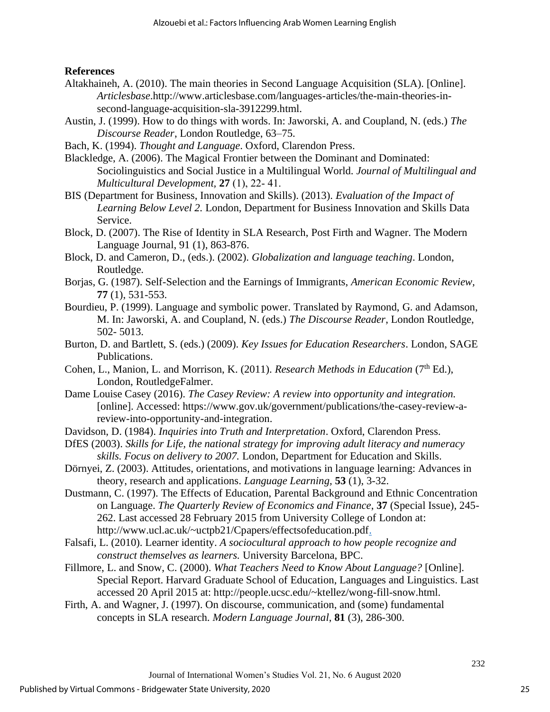#### **References**

- Altakhaineh, A. (2010). The main theories in Second Language Acquisition (SLA). [Online]. *Articlesbase*.http://www.articlesbase.com/languages-articles/the-main-theories-insecond-language-acquisition-sla-3912299.html.
- Austin, J. (1999). How to do things with words. In: Jaworski, A. and Coupland, N. (eds.) *The Discourse Reader*, London Routledge, 63–75.
- Bach, K. (1994). *Thought and Language*. Oxford, Clarendon Press.
- Blackledge, A. (2006). The Magical Frontier between the Dominant and Dominated: Sociolinguistics and Social Justice in a Multilingual World. *Journal of Multilingual and Multicultural Development,* **27** (1), 22‐ 41.
- BIS (Department for Business, Innovation and Skills). (2013). *Evaluation of the Impact of Learning Below Level 2.* London, Department for Business Innovation and Skills Data Service.
- Block, D. (2007). The Rise of Identity in SLA Research, Post Firth and Wagner. The Modern Language Journal, 91 (1), 863-876.
- Block, D. and Cameron, D., (eds.). (2002). *Globalization and language teaching*. London, Routledge.
- Borjas, G. (1987). Self-Selection and the Earnings of Immigrants, *American Economic Review,* **77** (1), 531-553.
- Bourdieu, P. (1999). Language and symbolic power. Translated by Raymond, G. and Adamson, M. In: Jaworski, A. and Coupland, N. (eds.) *The Discourse Reader*, London Routledge, 502- 5013.
- Burton, D. and Bartlett, S. (eds.) (2009). *Key Issues for Education Researchers*. London, SAGE Publications.
- Cohen, L., Manion, L. and Morrison, K. (2011). *Research Methods in Education* (7th Ed.), London, RoutledgeFalmer.
- Dame Louise Casey (2016). *The Casey Review: A review into opportunity and integration.*  [online]. Accessed: https://www.gov.uk/government/publications/the-casey-review-areview-into-opportunity-and-integration.
- Davidson, D. (1984). *Inquiries into Truth and Interpretation*. Oxford, Clarendon Press.
- DfES (2003). *Skills for Life, the national strategy for improving adult literacy and numeracy skills. Focus on delivery to 2007.* London, Department for Education and Skills.
- Dörnyei, Z. (2003). Attitudes, orientations, and motivations in language learning: Advances in theory, research and applications. *Language Learning,* **53** (1), 3-32.
- Dustmann, C. (1997). The Effects of Education, Parental Background and Ethnic Concentration on Language. *The Quarterly Review of Economics and Finance*, **37** (Special Issue), 245- 262. Last accessed 28 February 2015 from University College of London at: [http://www.ucl.ac.uk/~uctpb21/Cpapers/effectsofeducation.pdf.](http://www.ucl.ac.uk/~uctpb21/Cpapers/effectsofeducation.pdf)
- Falsafi, L. (2010). Learner identity. *A sociocultural approach to how people recognize and construct themselves as learners.* University Barcelona, BPC.
- Fillmore, L. and Snow, C. (2000). *What Teachers Need to Know About Language?* [Online]. Special Report. Harvard Graduate School of Education, Languages and Linguistics. Last accessed 20 April 2015 at: http://people.ucsc.edu/~ktellez/wong-fill-snow.html.
- Firth, A. and Wagner, J. (1997). On discourse, communication, and (some) fundamental concepts in SLA research. *Modern Language Journal*, **81** (3), 286-300.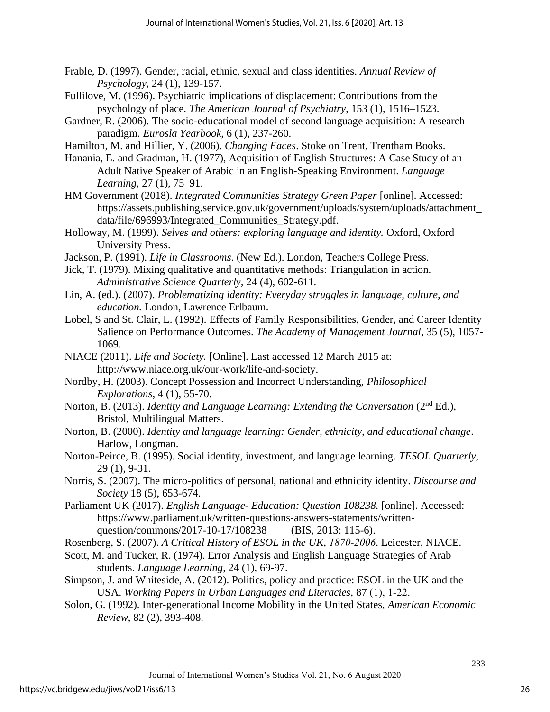- Frable, D. (1997). Gender, racial, ethnic, sexual and class identities. *Annual Review of Psychology*, 24 (1), 139-157.
- Fullilove, M. (1996). Psychiatric implications of displacement: Contributions from the psychology of place. *The American Journal of Psychiatry*, 153 (1), 1516–1523.
- Gardner, R. (2006). The socio-educational model of second language acquisition: A research paradigm. *Eurosla Yearbook,* 6 (1), 237-260.
- Hamilton, M. and Hillier, Y. (2006). *Changing Faces*. Stoke on Trent, Trentham Books.
- Hanania, E. and Gradman, H. (1977), Acquisition of English Structures: A Case Study of an Adult Native Speaker of Arabic in an English-Speaking Environment. *Language Learning,* 27 (1), 75–91.
- HM Government (2018). *Integrated Communities Strategy Green Paper* [online]. Accessed: [https://assets.publishing.service.gov.uk/government/uploads/system/uploads/attachment\\_](https://assets.publishing.service.gov.uk/government/uploads/system/uploads/attachment_data/file/696993/Integrated_Communities_Strategy.pdf) [data/file/696993/Integrated\\_Communities\\_Strategy.pdf.](https://assets.publishing.service.gov.uk/government/uploads/system/uploads/attachment_data/file/696993/Integrated_Communities_Strategy.pdf)
- Holloway, M. (1999). *Selves and others: exploring language and identity.* Oxford, Oxford University Press.
- Jackson, P. (1991). *Life in Classrooms*. (New Ed.). London, Teachers College Press.
- Jick, T. (1979). Mixing qualitative and quantitative methods: Triangulation in action. *Administrative Science Quarterly,* 24 (4), 602-611.
- Lin, A. (ed.). (2007). *Problematizing identity: Everyday struggles in language, culture, and education.* London, Lawrence Erlbaum.
- Lobel, S and St. Clair, L. (1992). Effects of Family Responsibilities, Gender, and Career Identity Salience on Performance Outcomes. *The Academy of Management Journal*, 35 (5), 1057- 1069.
- NIACE (2011). *Life and Society.* [Online]. Last accessed 12 March 2015 at: [http://www.niace.org.uk/our-work/life-and-society.](http://www.niace.org.uk/our-work/life-and-society)
- Nordby, H. (2003). Concept Possession and Incorrect Understanding, *Philosophical Explorations*, 4 (1), 55-70.
- Norton, B. (2013). *Identity and Language Learning: Extending the Conversation* (2nd Ed.), Bristol, Multilingual Matters.
- Norton, B. (2000). *Identity and language learning: Gender, ethnicity, and educational change*. Harlow, Longman.
- Norton-Peirce, B. (1995). Social identity, investment, and language learning. *TESOL Quarterly,*  29 (1), 9-31.
- Norris, S. (2007). The micro-politics of personal, national and ethnicity identity. *Discourse and Society* 18 (5), 653-674.
- Parliament UK (2017). *English Language- Education: Question 108238.* [online]. Accessed: https://www.parliament.uk/written-questions-answers-statements/writtenquestion/commons/2017-10-17/108238 (BIS, 2013: 115-6).
- Rosenberg, S. (2007). *A Critical History of ESOL in the UK, 1870‐2006*. Leicester, NIACE.
- Scott, M. and Tucker, R. (1974). Error Analysis and English Language Strategies of Arab students. *Language Learning,* 24 (1), 69-97.
- Simpson, J. and Whiteside, A. (2012). Politics, policy and practice: ESOL in the UK and the USA. *Working Papers in Urban Languages and Literacies,* 87 (1), 1‐22.
- Solon, G. (1992). Inter-generational Income Mobility in the United States, *American Economic Review*, 82 (2), 393-408.